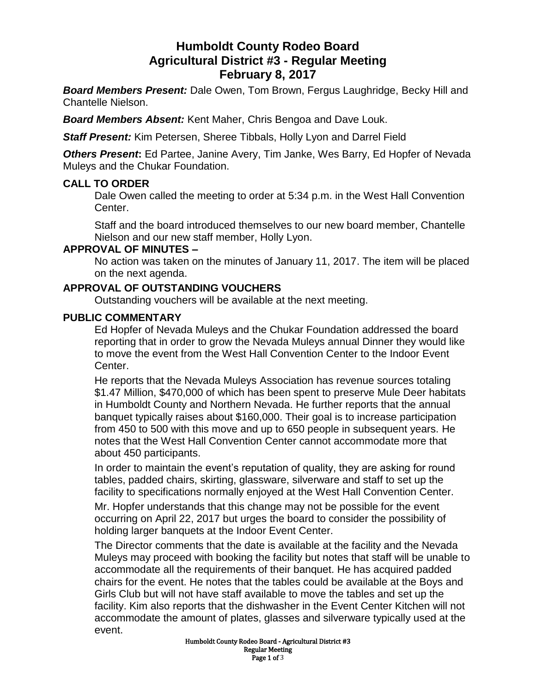# **Humboldt County Rodeo Board Agricultural District #3 - Regular Meeting February 8, 2017**

*Board Members Present:* Dale Owen, Tom Brown, Fergus Laughridge, Becky Hill and Chantelle Nielson.

*Board Members Absent:* Kent Maher, Chris Bengoa and Dave Louk.

*Staff Present:* Kim Petersen, Sheree Tibbals, Holly Lyon and Darrel Field

**Others Present:** Ed Partee, Janine Avery, Tim Janke, Wes Barry, Ed Hopfer of Nevada Muleys and the Chukar Foundation.

# **CALL TO ORDER**

Dale Owen called the meeting to order at 5:34 p.m. in the West Hall Convention Center.

Staff and the board introduced themselves to our new board member, Chantelle Nielson and our new staff member, Holly Lyon.

# **APPROVAL OF MINUTES –**

No action was taken on the minutes of January 11, 2017. The item will be placed on the next agenda.

# **APPROVAL OF OUTSTANDING VOUCHERS**

Outstanding vouchers will be available at the next meeting.

#### **PUBLIC COMMENTARY**

Ed Hopfer of Nevada Muleys and the Chukar Foundation addressed the board reporting that in order to grow the Nevada Muleys annual Dinner they would like to move the event from the West Hall Convention Center to the Indoor Event Center.

He reports that the Nevada Muleys Association has revenue sources totaling \$1.47 Million, \$470,000 of which has been spent to preserve Mule Deer habitats in Humboldt County and Northern Nevada. He further reports that the annual banquet typically raises about \$160,000. Their goal is to increase participation from 450 to 500 with this move and up to 650 people in subsequent years. He notes that the West Hall Convention Center cannot accommodate more that about 450 participants.

In order to maintain the event's reputation of quality, they are asking for round tables, padded chairs, skirting, glassware, silverware and staff to set up the facility to specifications normally enjoyed at the West Hall Convention Center.

Mr. Hopfer understands that this change may not be possible for the event occurring on April 22, 2017 but urges the board to consider the possibility of holding larger banquets at the Indoor Event Center.

The Director comments that the date is available at the facility and the Nevada Muleys may proceed with booking the facility but notes that staff will be unable to accommodate all the requirements of their banquet. He has acquired padded chairs for the event. He notes that the tables could be available at the Boys and Girls Club but will not have staff available to move the tables and set up the facility. Kim also reports that the dishwasher in the Event Center Kitchen will not accommodate the amount of plates, glasses and silverware typically used at the event.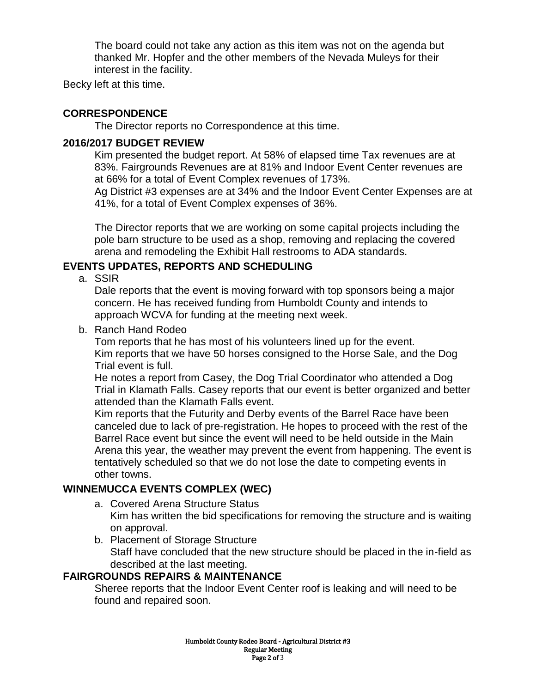The board could not take any action as this item was not on the agenda but thanked Mr. Hopfer and the other members of the Nevada Muleys for their interest in the facility.

Becky left at this time.

# **CORRESPONDENCE**

The Director reports no Correspondence at this time.

#### **2016/2017 BUDGET REVIEW**

Kim presented the budget report. At 58% of elapsed time Tax revenues are at 83%. Fairgrounds Revenues are at 81% and Indoor Event Center revenues are at 66% for a total of Event Complex revenues of 173%.

Ag District #3 expenses are at 34% and the Indoor Event Center Expenses are at 41%, for a total of Event Complex expenses of 36%.

The Director reports that we are working on some capital projects including the pole barn structure to be used as a shop, removing and replacing the covered arena and remodeling the Exhibit Hall restrooms to ADA standards.

# **EVENTS UPDATES, REPORTS AND SCHEDULING**

a. SSIR

Dale reports that the event is moving forward with top sponsors being a major concern. He has received funding from Humboldt County and intends to approach WCVA for funding at the meeting next week.

b. Ranch Hand Rodeo

Tom reports that he has most of his volunteers lined up for the event. Kim reports that we have 50 horses consigned to the Horse Sale, and the Dog Trial event is full.

He notes a report from Casey, the Dog Trial Coordinator who attended a Dog Trial in Klamath Falls. Casey reports that our event is better organized and better attended than the Klamath Falls event.

Kim reports that the Futurity and Derby events of the Barrel Race have been canceled due to lack of pre-registration. He hopes to proceed with the rest of the Barrel Race event but since the event will need to be held outside in the Main Arena this year, the weather may prevent the event from happening. The event is tentatively scheduled so that we do not lose the date to competing events in other towns.

#### **WINNEMUCCA EVENTS COMPLEX (WEC)**

- a. Covered Arena Structure Status Kim has written the bid specifications for removing the structure and is waiting on approval.
- b. Placement of Storage Structure Staff have concluded that the new structure should be placed in the in-field as described at the last meeting.

# **FAIRGROUNDS REPAIRS & MAINTENANCE**

Sheree reports that the Indoor Event Center roof is leaking and will need to be found and repaired soon.